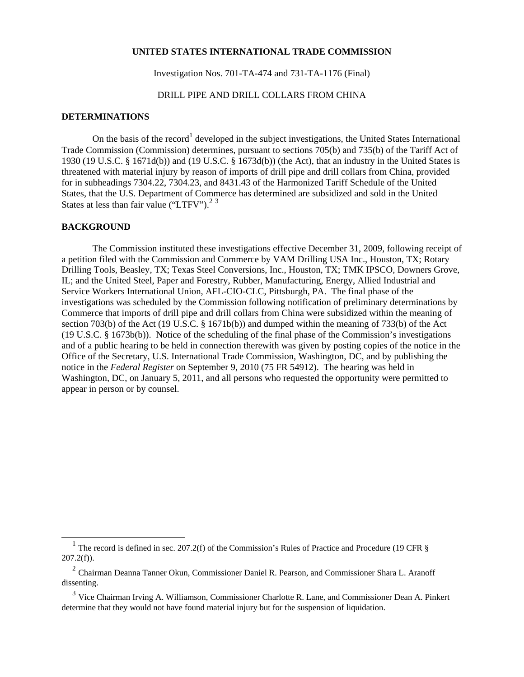## **UNITED STATES INTERNATIONAL TRADE COMMISSION**

Investigation Nos. 701-TA-474 and 731-TA-1176 (Final)

## DRILL PIPE AND DRILL COLLARS FROM CHINA

## **DETERMINATIONS**

On the basis of the record<sup>1</sup> developed in the subject investigations, the United States International Trade Commission (Commission) determines, pursuant to sections 705(b) and 735(b) of the Tariff Act of 1930 (19 U.S.C. § 1671d(b)) and (19 U.S.C. § 1673d(b)) (the Act), that an industry in the United States is threatened with material injury by reason of imports of drill pipe and drill collars from China, provided for in subheadings 7304.22, 7304.23, and 8431.43 of the Harmonized Tariff Schedule of the United States, that the U.S. Department of Commerce has determined are subsidized and sold in the United States at less than fair value ("LTFV").<sup>2 3</sup>

## **BACKGROUND**

 $\overline{a}$ 

 The Commission instituted these investigations effective December 31, 2009, following receipt of a petition filed with the Commission and Commerce by VAM Drilling USA Inc., Houston, TX; Rotary Drilling Tools, Beasley, TX; Texas Steel Conversions, Inc., Houston, TX; TMK IPSCO, Downers Grove, IL; and the United Steel, Paper and Forestry, Rubber, Manufacturing, Energy, Allied Industrial and Service Workers International Union, AFL-CIO-CLC, Pittsburgh, PA. The final phase of the investigations was scheduled by the Commission following notification of preliminary determinations by Commerce that imports of drill pipe and drill collars from China were subsidized within the meaning of section 703(b) of the Act (19 U.S.C. § 1671b(b)) and dumped within the meaning of 733(b) of the Act (19 U.S.C. § 1673b(b)). Notice of the scheduling of the final phase of the Commission's investigations and of a public hearing to be held in connection therewith was given by posting copies of the notice in the Office of the Secretary, U.S. International Trade Commission, Washington, DC, and by publishing the notice in the *Federal Register* on September 9, 2010 (75 FR 54912). The hearing was held in Washington, DC, on January 5, 2011, and all persons who requested the opportunity were permitted to appear in person or by counsel.

<sup>&</sup>lt;sup>1</sup> The record is defined in sec. 207.2(f) of the Commission's Rules of Practice and Procedure (19 CFR  $\S$  $207.2(f)$ ).

<sup>2</sup> Chairman Deanna Tanner Okun, Commissioner Daniel R. Pearson, and Commissioner Shara L. Aranoff dissenting.

<sup>3</sup> Vice Chairman Irving A. Williamson, Commissioner Charlotte R. Lane, and Commissioner Dean A. Pinkert determine that they would not have found material injury but for the suspension of liquidation.